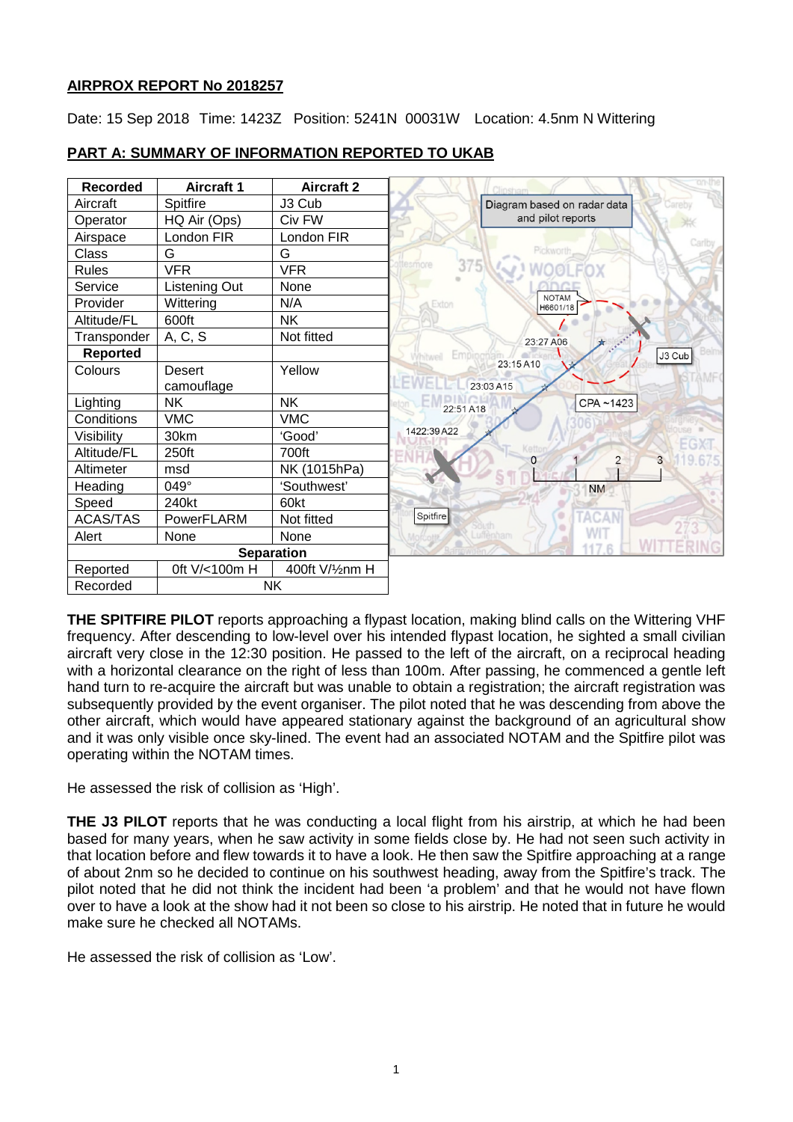## **AIRPROX REPORT No 2018257**

Date: 15 Sep 2018 Time: 1423Z Position: 5241N 00031W Location: 4.5nm N Wittering

| <b>Recorded</b>   | <b>Aircraft 1</b> | <b>Aircraft 2</b> |                                   |
|-------------------|-------------------|-------------------|-----------------------------------|
| Aircraft          | Spitfire          | J3 Cub            | Diagram based on radar data       |
| Operator          | HQ Air (Ops)      | Civ FW            | and pilot reports                 |
| Airspace          | London FIR        | London FIR        |                                   |
| Class             | G                 | G                 | Pickworth                         |
| <b>Rules</b>      | <b>VFR</b>        | <b>VFR</b>        | 375<br>esmore                     |
| Service           | Listening Out     | None              |                                   |
| Provider          | Wittering         | N/A               | <b>NOTAM</b><br>Exton<br>H6601/18 |
| Altitude/FL       | 600ft             | <b>NK</b>         |                                   |
| Transponder       | A, C, S           | Not fitted        | 23:27 A06                         |
| Reported          |                   |                   | J3 Cub<br>Emn                     |
| Colours           | <b>Desert</b>     | Yellow            | 23:15 A10                         |
|                   | camouflage        |                   | 23:03 A15                         |
| Lighting          | <b>NK</b>         | <b>NK</b>         | CPA~1423<br>22:51 A18             |
| Conditions        | <b>VMC</b>        | <b>VMC</b>        |                                   |
| Visibility        | 30km              | 'Good'            | 1422:39 A22                       |
| Altitude/FL       | 250ft             | 700ft             | 3                                 |
| Altimeter         | msd               | NK (1015hPa)      |                                   |
| Heading           | 049°              | 'Southwest'       | <b>NM</b>                         |
| Speed             | 240kt             | 60kt              |                                   |
| <b>ACAS/TAS</b>   | PowerFLARM        | Not fitted        | Spitfire<br><b>TACAN</b>          |
| Alert             | None              | None              | WI <sub>1</sub><br>uffenham       |
| <b>Separation</b> |                   |                   |                                   |
| Reported          | 0ft V/<100m H     | 400ft V/1/2nm H   |                                   |
| Recorded          | <b>NK</b>         |                   |                                   |

# **PART A: SUMMARY OF INFORMATION REPORTED TO UKAB**

**THE SPITFIRE PILOT** reports approaching a flypast location, making blind calls on the Wittering VHF frequency. After descending to low-level over his intended flypast location, he sighted a small civilian aircraft very close in the 12:30 position. He passed to the left of the aircraft, on a reciprocal heading with a horizontal clearance on the right of less than 100m. After passing, he commenced a gentle left hand turn to re-acquire the aircraft but was unable to obtain a registration; the aircraft registration was subsequently provided by the event organiser. The pilot noted that he was descending from above the other aircraft, which would have appeared stationary against the background of an agricultural show and it was only visible once sky-lined. The event had an associated NOTAM and the Spitfire pilot was operating within the NOTAM times.

He assessed the risk of collision as 'High'.

**THE J3 PILOT** reports that he was conducting a local flight from his airstrip, at which he had been based for many years, when he saw activity in some fields close by. He had not seen such activity in that location before and flew towards it to have a look. He then saw the Spitfire approaching at a range of about 2nm so he decided to continue on his southwest heading, away from the Spitfire's track. The pilot noted that he did not think the incident had been 'a problem' and that he would not have flown over to have a look at the show had it not been so close to his airstrip. He noted that in future he would make sure he checked all NOTAMs.

He assessed the risk of collision as 'Low'.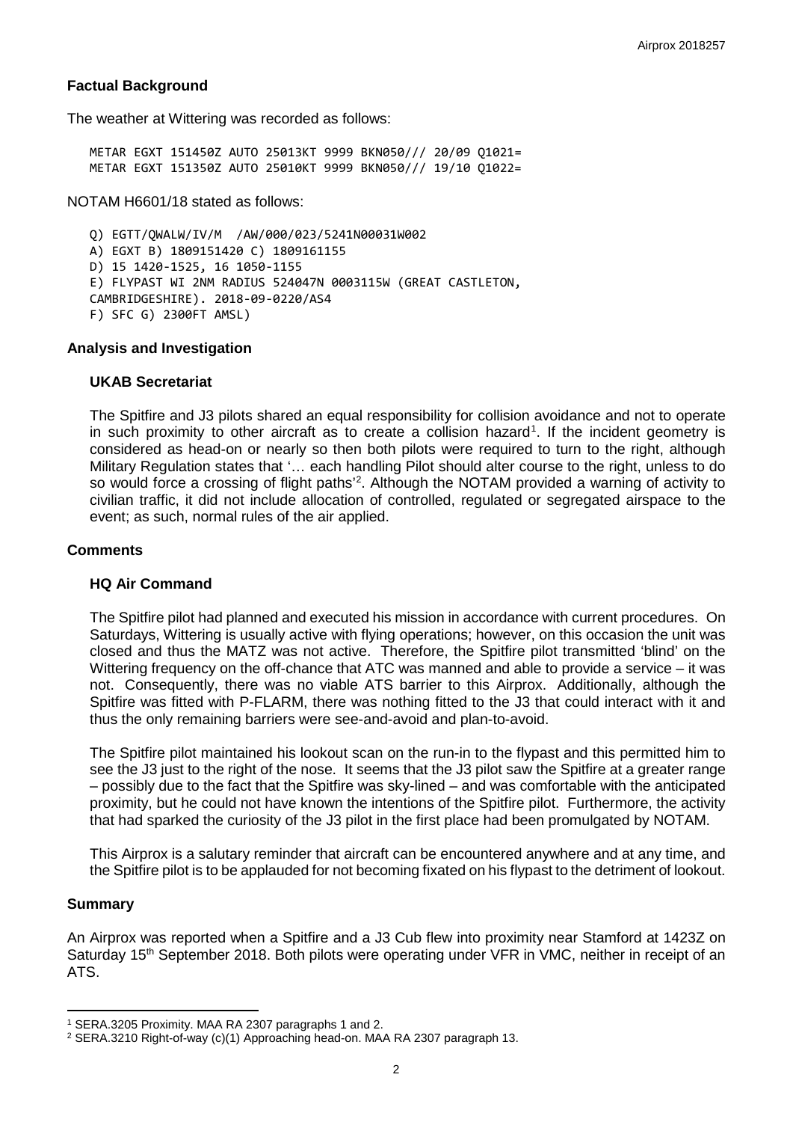### **Factual Background**

The weather at Wittering was recorded as follows:

METAR EGXT 151450Z AUTO 25013KT 9999 BKN050/// 20/09 Q1021= METAR EGXT 151350Z AUTO 25010KT 9999 BKN050/// 19/10 Q1022=

NOTAM H6601/18 stated as follows:

Q) EGTT/QWALW/IV/M /AW/000/023/5241N00031W002 A) EGXT B) 1809151420 C) 1809161155 D) 15 1420-1525, 16 1050-1155 E) FLYPAST WI 2NM RADIUS 524047N 0003115W (GREAT CASTLETON, CAMBRIDGESHIRE). 2018-09-0220/AS4 F) SFC G) 2300FT AMSL)

#### **Analysis and Investigation**

#### **UKAB Secretariat**

The Spitfire and J3 pilots shared an equal responsibility for collision avoidance and not to operate in such proximity to other aircraft as to create a collision hazard<sup>[1](#page-1-0)</sup>. If the incident geometry is considered as head-on or nearly so then both pilots were required to turn to the right, although Military Regulation states that '… each handling Pilot should alter course to the right, unless to do so would force a crossing of flight paths<sup>'[2](#page-1-1)</sup>. Although the NOTAM provided a warning of activity to civilian traffic, it did not include allocation of controlled, regulated or segregated airspace to the event; as such, normal rules of the air applied.

### **Comments**

#### **HQ Air Command**

The Spitfire pilot had planned and executed his mission in accordance with current procedures. On Saturdays, Wittering is usually active with flying operations; however, on this occasion the unit was closed and thus the MATZ was not active. Therefore, the Spitfire pilot transmitted 'blind' on the Wittering frequency on the off-chance that ATC was manned and able to provide a service – it was not. Consequently, there was no viable ATS barrier to this Airprox. Additionally, although the Spitfire was fitted with P-FLARM, there was nothing fitted to the J3 that could interact with it and thus the only remaining barriers were see-and-avoid and plan-to-avoid.

The Spitfire pilot maintained his lookout scan on the run-in to the flypast and this permitted him to see the J3 just to the right of the nose. It seems that the J3 pilot saw the Spitfire at a greater range – possibly due to the fact that the Spitfire was sky-lined – and was comfortable with the anticipated proximity, but he could not have known the intentions of the Spitfire pilot. Furthermore, the activity that had sparked the curiosity of the J3 pilot in the first place had been promulgated by NOTAM.

This Airprox is a salutary reminder that aircraft can be encountered anywhere and at any time, and the Spitfire pilot is to be applauded for not becoming fixated on his flypast to the detriment of lookout.

#### **Summary**

l

An Airprox was reported when a Spitfire and a J3 Cub flew into proximity near Stamford at 1423Z on Saturday 15<sup>th</sup> September 2018. Both pilots were operating under VFR in VMC, neither in receipt of an ATS.

<span id="page-1-0"></span><sup>1</sup> SERA.3205 Proximity. MAA RA 2307 paragraphs 1 and 2.

<span id="page-1-1"></span><sup>2</sup> SERA.3210 Right-of-way (c)(1) Approaching head-on. MAA RA 2307 paragraph 13.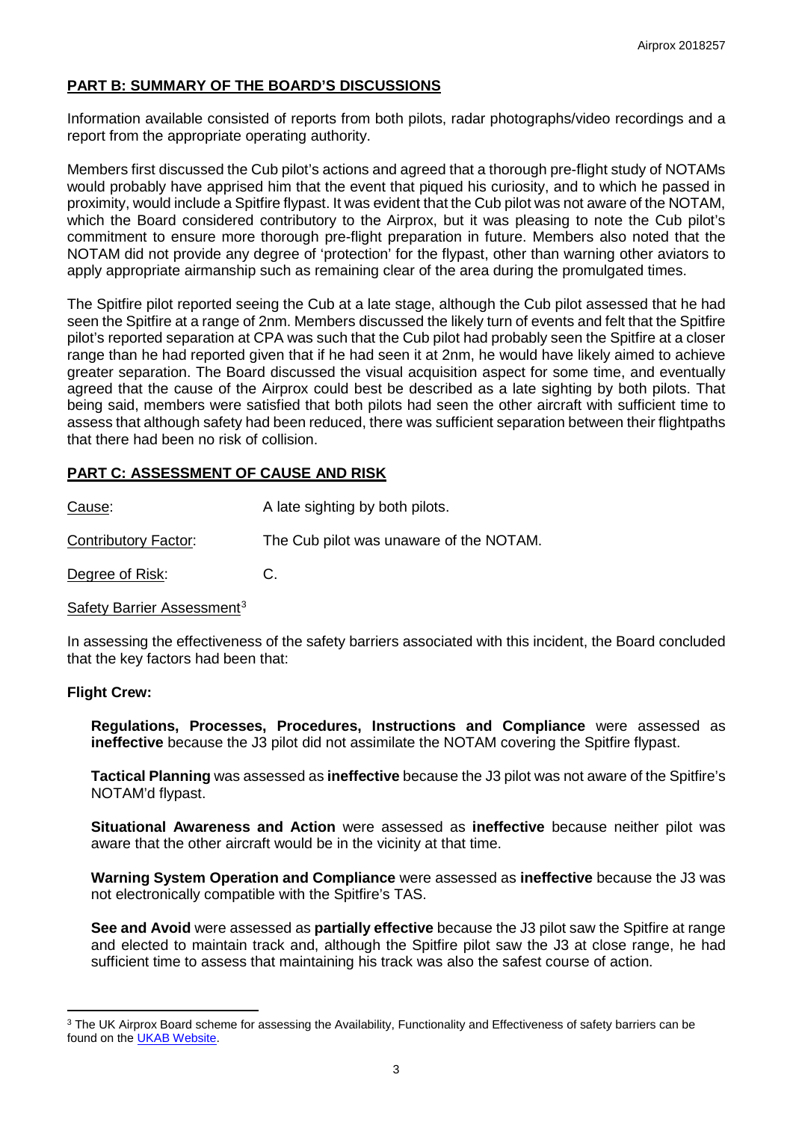# **PART B: SUMMARY OF THE BOARD'S DISCUSSIONS**

Information available consisted of reports from both pilots, radar photographs/video recordings and a report from the appropriate operating authority.

Members first discussed the Cub pilot's actions and agreed that a thorough pre-flight study of NOTAMs would probably have apprised him that the event that piqued his curiosity, and to which he passed in proximity, would include a Spitfire flypast. It was evident that the Cub pilot was not aware of the NOTAM, which the Board considered contributory to the Airprox, but it was pleasing to note the Cub pilot's commitment to ensure more thorough pre-flight preparation in future. Members also noted that the NOTAM did not provide any degree of 'protection' for the flypast, other than warning other aviators to apply appropriate airmanship such as remaining clear of the area during the promulgated times.

The Spitfire pilot reported seeing the Cub at a late stage, although the Cub pilot assessed that he had seen the Spitfire at a range of 2nm. Members discussed the likely turn of events and felt that the Spitfire pilot's reported separation at CPA was such that the Cub pilot had probably seen the Spitfire at a closer range than he had reported given that if he had seen it at 2nm, he would have likely aimed to achieve greater separation. The Board discussed the visual acquisition aspect for some time, and eventually agreed that the cause of the Airprox could best be described as a late sighting by both pilots. That being said, members were satisfied that both pilots had seen the other aircraft with sufficient time to assess that although safety had been reduced, there was sufficient separation between their flightpaths that there had been no risk of collision.

## **PART C: ASSESSMENT OF CAUSE AND RISK**

| <u>Cause</u> :       | A late sighting by both pilots.         |
|----------------------|-----------------------------------------|
| Contributory Factor: | The Cub pilot was unaware of the NOTAM. |
| Degree of Risk:      | C.                                      |

Safety Barrier Assessment<sup>[3](#page-2-0)</sup>

In assessing the effectiveness of the safety barriers associated with this incident, the Board concluded that the key factors had been that:

## **Flight Crew:**

l

**Regulations, Processes, Procedures, Instructions and Compliance** were assessed as **ineffective** because the J3 pilot did not assimilate the NOTAM covering the Spitfire flypast.

**Tactical Planning** was assessed as **ineffective** because the J3 pilot was not aware of the Spitfire's NOTAM'd flypast.

**Situational Awareness and Action** were assessed as **ineffective** because neither pilot was aware that the other aircraft would be in the vicinity at that time.

**Warning System Operation and Compliance** were assessed as **ineffective** because the J3 was not electronically compatible with the Spitfire's TAS.

**See and Avoid** were assessed as **partially effective** because the J3 pilot saw the Spitfire at range and elected to maintain track and, although the Spitfire pilot saw the J3 at close range, he had sufficient time to assess that maintaining his track was also the safest course of action.

<span id="page-2-0"></span><sup>&</sup>lt;sup>3</sup> The UK Airprox Board scheme for assessing the Availability, Functionality and Effectiveness of safety barriers can be found on the [UKAB Website.](http://www.airproxboard.org.uk/Learn-more/Airprox-Barrier-Assessment/)